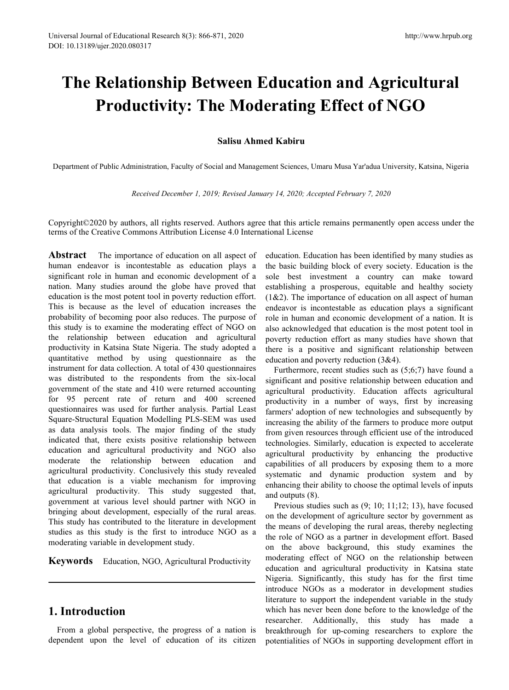# **The Relationship Between Education and Agricultural Productivity: The Moderating Effect of NGO** <sup>71, 2020</sup><br> **Salisu Ahmed Kabiru**<br> **Salisu Ahmed Kabiru**<br> **Salisu Ahmed Kabiru**<br> **Salisu Ahmed Kabiru**<br> **Salisu Ahmed Kabiru**<br> **Salisu Ahmed Kabiru**<br> **Salisu Ahmed Kabiru**<br> **Salisu Ahmed Kabiru**<br> **Salisu Ahmed Kabiru** *Received December 1, 2019; Revised January 14, 2020; Accepted February 7, 2020***<br>** *Received December 1, 2019; Revised January 14, 2020; Accepted February 7, 2020***<br>** *Received December 1, 2019; Revised January 14, 2020; Acc*

Department of Public Administration, Faculty of Social and Management Sciences, Umaru Musa Yar'adua University, Katsina, Nigeria

Copyright©2020 by authors, all rights reserved. Authors agree that this article remains permanently open access under the terms of the Creative Commons Attribution License 4.0 International License

**Abstract** The importance of education on all aspect of human endeavor is incontestable as education plays a significant role in human and economic development of a nation. Many studies around the globe have proved that education is the most potent tool in poverty reduction effort. This is because as the level of education increases the probability of becoming poor also reduces. The purpose of this study is to examine the moderating effect of NGO on the relationship between education and agricultural productivity in Katsina State Nigeria.The study adopted a quantitative method by using questionnaire as the instrument for data collection. A total of 430 questionnaires was distributed to the respondents from the six-local government of the state and 410 were returned accounting for 95 percent rate of return and 400 screened questionnaires was used for further analysis. Partial Least Square-Structural Equation Modelling PLS-SEM was used as data analysis tools. The major finding of the study indicated that, there exists positive relationship between education and agricultural productivity and NGO also moderate the relationship between education and agricultural productivity. Conclusively this study revealed that education is a viable mechanism for improving agricultural productivity. This study suggested that, government at various level should partner with NGO in bringing about development, especially of the rural areas. This study has contributed to the literature in development studies as this study is the first to introduce NGO as a moderating variable in development study.

**Keywords** Education, NGO, Agricultural Productivity

# **1. Introduction**

From a global perspective, the progress of a nation is dependent upon the level of education of its citizen education. Education has been identified by many studies as the basic building block of every society. Education is the sole best investment a country can make toward establishing a prosperous, equitable and healthy society  $(1&2)$ . The importance of education on all aspect of human endeavor is incontestable as education plays a significant role in human and economic development of a nation. It is also acknowledged that education is the most potent tool in poverty reduction effort as many studies have shown that there is a positive and significant relationship between education and poverty reduction (3&4).

Furthermore, recent studies such as (5;6;7) have found a significant and positive relationship between education and agricultural productivity. Education affects agricultural productivity in a number of ways, first by increasing farmers' adoption of new technologies and subsequently by increasing the ability of the farmers to produce more output from given resources through efficient use of the introduced technologies. Similarly, education is expected to accelerate agricultural productivity by enhancing the productive capabilities of all producers by exposing them to a more systematic and dynamic production system and by enhancing their ability to choose the optimal levels of inputs and outputs (8).

Previous studies such as (9; 10; 11;12; 13), have focused on the development of agriculture sector by government as the means of developing the rural areas, thereby neglecting the role of NGO as a partner in development effort. Based on the above background, this study examines the moderating effect of NGO on the relationship between education and agricultural productivity in Katsina state Nigeria. Significantly, this study has for the first time introduce NGOs as a moderator in development studies literature to support the independent variable in the study which has never been done before to the knowledge of the researcher. Additionally, this study has made a breakthrough for up-coming researchers to explore the potentialities of NGOs in supporting development effort in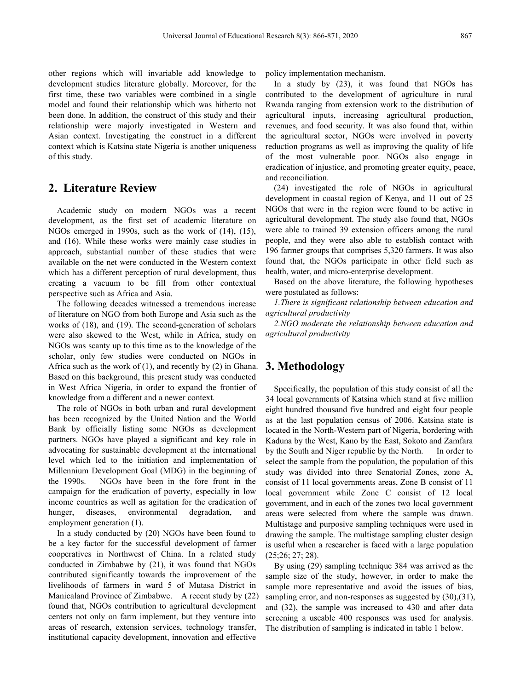other regions which will invariable add knowledge to development studies literature globally. Moreover, for the first time, these two variables were combined in a single model and found their relationship which was hitherto not been done. In addition, the construct of this study and their relationship were majorly investigated in Western and Asian context. Investigating the construct in a different context which is Katsina state Nigeria is another uniqueness of this study.

# **2. Literature Review**

Academic study on modern NGOs was a recent development, as the first set of academic literature on NGOs emerged in 1990s, such as the work of (14), (15), and (16). While these works were mainly case studies in approach, substantial number of these studies that were available on the net were conducted in the Western context which has a different perception of rural development, thus creating a vacuum to be fill from other contextual perspective such as Africa and Asia.

The following decades witnessed a tremendous increase of literature on NGO from both Europe and Asia such as the works of (18), and (19). The second-generation of scholars were also skewed to the West, while in Africa, study on NGOs was scanty up to this time as to the knowledge of the scholar, only few studies were conducted on NGOs in Africa such as the work of  $(1)$ , and recently by  $(2)$  in Ghana. Based on this background, this present study was conducted in West Africa Nigeria, in order to expand the frontier of knowledge from a different and a newer context.

The role of NGOs in both urban and rural development has been recognized by the United Nation and the World Bank by officially listing some NGOs as development partners. NGOs have played a significant and key role in advocating for sustainable development at the international level which led to the initiation and implementation of Millennium Development Goal (MDG) in the beginning of the 1990s. NGOs have been in the fore front in the campaign for the eradication of poverty, especially in low income countries as well as agitation for the eradication of hunger, diseases, environmental degradation, and areas were selected from where the sample was drawn. employment generation (1).

In a study conducted by (20) NGOs have been found to be a key factor for the successful development of farmer cooperatives in Northwest of China. In a related study conducted in Zimbabwe by (21), it was found that NGOs contributed significantly towards the improvement of the livelihoods of farmers in ward 5 of Mutasa District in Manicaland Province of Zimbabwe. A recent study by (22) found that, NGOs contribution to agricultural development centers not only on farm implement, but they venture into areas of research, extension services, technology transfer, institutional capacity development, innovation and effective

policy implementation mechanism.

In a study by  $(23)$ , it was found that NGOs has contributed to the development of agriculture in rural Rwanda ranging from extension work to the distribution of agricultural inputs, increasing agricultural production, revenues, and food security. It was also found that, within the agricultural sector, NGOs were involved in poverty reduction programs as well as improving the quality of life of the most vulnerable poor. NGOs also engage in eradication of injustice, and promoting greater equity, peace, and reconciliation.

(24) investigated the role of NGOs in agricultural development in coastal region of Kenya, and 11 out of 25 NGOs that were in the region were found to be active in agricultural development. The study also found that, NGOs were able to trained 39 extension officers among the rural people, and they were also able to establish contact with 196 farmer groups that comprises 5,320 farmers. It was also found that, the NGOs participate in other field such as health, water, and micro-enterprise development.

Based on the above literature, the following hypotheses were postulated as follows:

*1.There issignificant relationship between education and agricultural productivity*

*2.NGO moderate the relationship between education and agricultural productivity*

# **3. Methodology**

Specifically, the population of this study consist of all the 34 local governments of Katsina which stand at five million eight hundred thousand five hundred and eight four people as at the last population census of 2006. Katsina state is located in the North-Western part of Nigeria, bordering with Kaduna by the West, Kano by the East, Sokoto and Zamfara by the South and Niger republic by the North. In order to select the sample from the population, the population of this study was divided into three Senatorial Zones, zone A, consist of 11 local governments areas, Zone B consist of 11 local government while Zone C consist of 12 local government, and in each of the zones two local government Multistage and purposive sampling techniques were used in drawing the sample. The multistage sampling cluster design is useful when a researcher is faced with a large population (25;26; 27; 28).

By using (29) sampling technique 384 was arrived as the sample size of the study, however, in order to make the sample more representative and avoid the issues of bias, sampling error, and non-responses as suggested by  $(30),(31)$ , and (32), the sample was increased to 430 and after data screening a useable 400 responses was used for analysis. The distribution of sampling is indicated in table 1 below.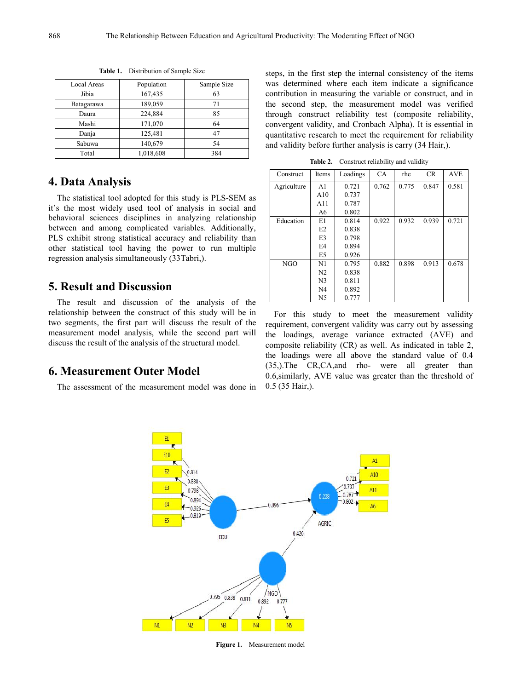| Local Areas | Population | Sample Size | was d   |
|-------------|------------|-------------|---------|
| Jibia       | 167,435    | 63          | contril |
| Batagarawa  | 189,059    | 71          | the se  |
| Daura       | 224,884    | 85          | throug  |
| Mashi       | 171,070    | 64          | conve:  |
| Danja       | 125,481    | 47          | quanti  |
| Sabuwa      | 140,679    | 54          | and va  |
| Total       | 1,018,608  | 384         |         |
|             |            |             |         |

**Table 1.** Distribution of Sample Size

# **4. Data Analysis**

The statistical tool adopted for this study is PLS-SEM as it's the most widely used tool of analysis in social and behavioral sciences disciplines in analyzing relationship between and among complicated variables. Additionally, PLS exhibit strong statistical accuracy and reliability than other statistical tool having the power to run multiple regression analysis simultaneously (33Tabri,).

# **5. Result and Discussion**

The result and discussion of the analysis of the relationship between the construct of this study will be in two segments, the first part will discuss the result of the measurement model analysis, while the second part will discuss the result of the analysis of the structural model.

### **6. Measurement Outer Model**

The assessment of the measurement model was done in

Local Areas | Population | Sample Size | was determined where each item indicate a significance Daura 224,884 85 through construct reliability test (composite reliability, Mashi 171,070 64 convergent validity, and Cronbach Alpha). It is essential in Danja 125,481 47 quantitative research to meet the requirement for reliability Sabuwa 140,679 54 and validity before further analysis is carry (34 Hair,). steps, in the first step the internal consistency of the items contribution in measuring the variable or construct, and in the second step, the measurement model was verified

**Table 2.** Construct reliability and validity

| Construct   | Items          | Loadings | <b>CA</b> | rhe   | <b>CR</b> | <b>AVE</b> |
|-------------|----------------|----------|-----------|-------|-----------|------------|
| Agriculture | A <sub>1</sub> | 0.721    | 0.762     | 0.775 | 0.847     | 0.581      |
|             | A10            | 0.737    |           |       |           |            |
|             | A11            | 0.787    |           |       |           |            |
|             | A6             | 0.802    |           |       |           |            |
| Education   | E1             | 0.814    | 0.922     | 0.932 | 0.939     | 0.721      |
|             | E <sub>2</sub> | 0.838    |           |       |           |            |
|             | E3             | 0.798    |           |       |           |            |
|             | E4             | 0.894    |           |       |           |            |
|             | E <sub>5</sub> | 0.926    |           |       |           |            |
| NGO         | N1             | 0.795    | 0.882     | 0.898 | 0.913     | 0.678      |
|             | N <sub>2</sub> | 0.838    |           |       |           |            |
|             | N <sub>3</sub> | 0.811    |           |       |           |            |
|             | N4             | 0.892    |           |       |           |            |
|             | N <sub>5</sub> | 0.777    |           |       |           |            |

For this study to meet the measurement validity requirement, convergent validity was carry out by assessing the loadings, average variance extracted (AVE) and composite reliability (CR) as well. As indicated in table 2, the loadings were all above the standard value of 0.4 (35,).The CR,CA,and rho- were all greater than 0.6,similarly, AVE value was greater than the threshold of 0.5 (35 Hair,).



**Figure 1.** Measurement model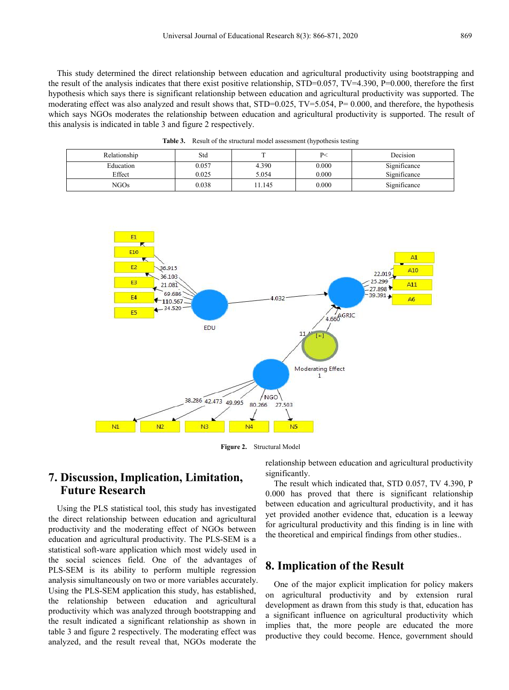This study determined the direct relationship between education and agricultural productivity using bootstrapping and the result of the analysis indicates that there exist positive relationship,  $STD=0.057$ ,  $TV=4.390$ ,  $P=0.000$ , therefore the first hypothesis which saysthere issignificant relationship between education and agricultural productivity was supported. The moderating effect was also analyzed and result shows that,  $STD=0.025$ ,  $TV=5.054$ ,  $P= 0.000$ , and therefore, the hypothesis which says NGOs moderates the relationship between education and agricultural productivity is supported. The result of this analysis is indicated in table 3 and figure 2 respectively.

**Table 3.** Result of the structural model assessment (hypothesis testing

| Relationship     | Std   |       | P<    | Decision     |
|------------------|-------|-------|-------|--------------|
| Education        | 0.057 | 4.390 | 0.000 | Significance |
| Effect           | 0.025 | 5.054 | 0.000 | Significance |
| NGO <sub>s</sub> | 0.038 | 1.145 | 0.000 | Significance |



**Figure 2.** Structural Model

# **7. Discussion, Implication, Limitation, Future Research**

Using the PLS statistical tool, this study has investigated the direct relationship between education and agricultural productivity and the moderating effect of NGOs between education and agricultural productivity. The PLS-SEM is a statistical soft-ware application which most widely used in the social sciences field. One of the advantages of PLS-SEM is its ability to perform multiple regression analysis simultaneously on two or more variables accurately. Using the PLS-SEM application this study, has established, the relationship between education and agricultural productivity which was analyzed through bootstrapping and the result indicated a significant relationship as shown in table 3 and figure 2 respectively. The moderating effect was analyzed, and the result reveal that, NGOs moderate the

relationship between education and agricultural productivity significantly.

The result which indicated that, STD 0.057, TV 4.390, P 0.000 has proved that there is significant relationship between education and agricultural productivity, and it has yet provided another evidence that, education is a leeway for agricultural productivity and this finding is in line with the theoretical and empirical findings from other studies..

# **8. Implication of the Result**

One of the major explicit implication for policy makers on agricultural productivity and by extension rural development as drawn from this study is that, education has a significant influence on agricultural productivity which implies that, the more people are educated the more productive they could become. Hence, government should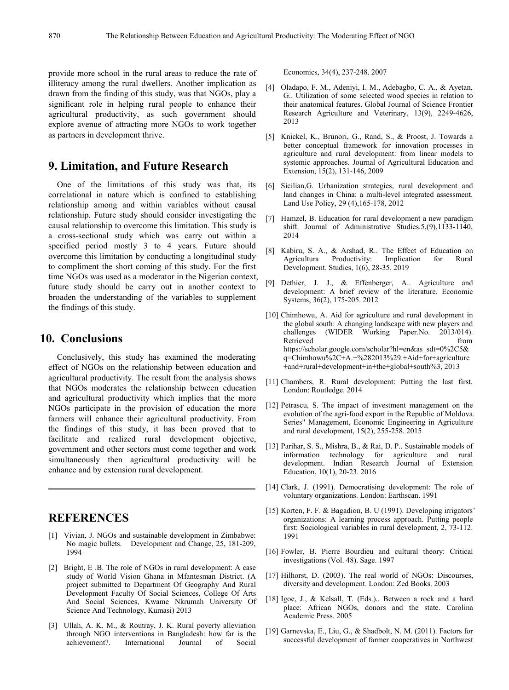provide more school in the rural areas to reduce the rate of illiteracy among the rural dwellers. Another implication as drawn from the finding of this study, was that NGOs, play a significant role in helping rural people to enhance their agricultural productivity, as such government should explore avenue of attracting more NGOs to work together as partners in development thrive.

# **9. Limitation, and Future Research**

One of the limitations of this study was that, its correlational in nature which is confined to establishing relationship among and within variables without causal relationship. Future study should consider investigating the [7] causal relationship to overcome this limitation. This study is a cross-sectional study which was carry out within a specified period mostly 3 to 4 years. Future should overcome this limitation by conducting a longitudinal study to compliment the short coming of this study. For the first time NGOs was used as a moderator in the Nigerian context, future study should be carry out in another context to broaden the understanding of the variables to supplement the findings of this study.

### **10. Conclusions**

Conclusively, this study has examined the moderating effect of NGOs on the relationship between education and agricultural productivity. The result from the analysis shows that NGOs moderates the relationship between education and agricultural productivity which implies that the more NGOs participate in the provision of education the more farmers will enhance their agricultural productivity. From the findings of this study, it has been proved that to facilitate and realized rural development objective, government and other sectors must come together and work simultaneously then agricultural productivity will be enhance and by extension rural development.

# **REFERENCES**

- [1] Vivian, J. NGOs and sustainable development in Zimbabwe: No magic bullets. Development and Change, 25, 181-209, 1994
- [2] Bright, E .B. The role of NGOs in rural development: A case study of World Vision Ghana in Mfantesman District. (A project submitted to Department Of Geography And Rural Development Faculty Of Social Sciences, College Of Arts And Social Sciences, Kwame Nkrumah University Of Science And Technology, Kumasi) 2013
- [3] Ullah, A. K. M., & Routray, J. K. Rural poverty alleviation through NGO interventions in Bangladesh: how far is the achievement?. International Journal of Social

Economics, 34(4), 237-248. 2007

- [4] Oladapo, F. M., Adeniyi, I. M., Adebagbo, C. A., & Ayetan, G.. Utilization of some selected wood species in relation to their anatomical features. Global Journal of Science Frontier Research Agriculture and Veterinary, 13(9), 2249-4626, 2013
- [5] Knickel, K., Brunori, G., Rand, S., & Proost, J. Towards a better conceptual framework for innovation processes in agriculture and rural development: from linear models to systemic approaches. Journal of Agricultural Education and Extension, 15(2), 131-146, 2009
- [6] Sicilian,G. Urbanization strategies, rural development and land changes in China: a multi-level integrated assessment. Land Use Policy, 29 (4),165-178, 2012
- Hamzel, B. Education for rural development a new paradigm shift. Journal of Administrative Studies.5,(9),1133-1140, 2014
- [8] Kabiru, S. A., & Arshad, R.. The Effect of Education on Agricultura Productivity: Implication for Rural Development. Studies, 1(6), 28-35. 2019
- [9] Dethier, J. J., & Effenberger, A.. Agriculture and development: A brief review of the literature. Economic Systems, 36(2), 175-205. 2012
- [10] Chimhowu, A. Aid for agriculture and rural development in the global south: A changing landscape with new players and challenges (WIDER Working Paper.No. 2013/014). Retrieved from the state of  $\sim$  from the state of  $\sim$  from the state of  $\sim$  from the state of  $\sim$  from the state of  $\sim$  from the state of  $\sim$  5.5  $\mu$  from the state of  $\sim$  5.5  $\mu$  from the state of  $\sim$  5.5  $\mu$  f https://scholar.google.com/scholar?hl=en&as\_sdt=0%2C5& q=Chimhowu%2C+A.+%282013%29.+Aid+for+agriculture +and+rural+development+in+the+global+south%3, 2013
- [11] Chambers, R. Rural development: Putting the last first. London: Routledge. 2014
- [12] Petrascu, S. The impact of investment management on the evolution of the agri-food export in the Republic of Moldova. Series" Management, Economic Engineering in Agriculture and rural development, 15(2), 255-258. 2015
- [13] Parihar, S. S., Mishra, B., & Rai, D. P.. Sustainable models of information technology for agriculture and rural development. Indian Research Journal of Extension Education, 10(1), 20-23. 2016
- [14] Clark, J. (1991). Democratising development: The role of voluntary organizations. London: Earthscan. 1991
- [15] Korten, F. F. & Bagadion, B. U (1991). Developing irrigators' organizations: A learning process approach. Putting people first: Sociological variables in rural development, 2, 73-112. 1991
- [16] Fowler, B. Pierre Bourdieu and cultural theory: Critical investigations (Vol. 48). Sage. 1997
- [17] Hilhorst, D. (2003). The real world of NGOs: Discourses, diversity and development. London: Zed Books. 2003
- [18] Igoe, J., & Kelsall, T. (Eds.).. Between a rock and a hard place: African NGOs, donors and the state. Carolina Academic Press. 2005
- [19] Garnevska, E., Liu, G., & Shadbolt, N. M. (2011). Factors for successful development of farmer cooperatives in Northwest